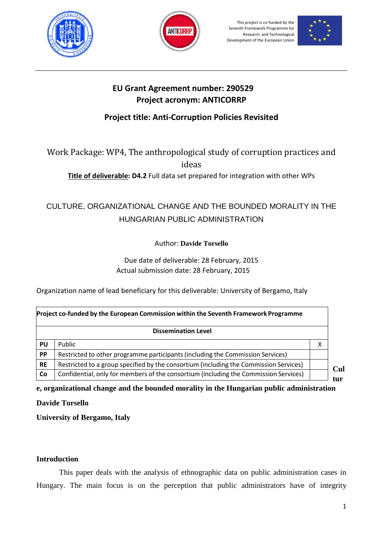





### **EU Grant Agreement number: 290529 Project acronym: ANTICORRP**

## **Project title: Anti-Corruption Policies Revisited**

Work Package: WP4, The anthropological study of corruption practices and ideas

**Title of deliverable: D4.2** Full data set prepared for integration with other WPs

# CULTURE, ORGANIZATIONAL CHANGE AND THE BOUNDED MORALITY IN THE HUNGARIAN PUBLIC ADMINISTRATION

Author: **Davide Torsello**

Due date of deliverable: 28 February, 2015 Actual submission date: 28 February, 2015

Organization name of lead beneficiary for this deliverable: University of Bergamo, Italy

| Project co-funded by the European Commission within the Seventh Framework Programme |                                                                                       |   |
|-------------------------------------------------------------------------------------|---------------------------------------------------------------------------------------|---|
|                                                                                     | <b>Dissemination Level</b>                                                            |   |
| PU                                                                                  | Public                                                                                | χ |
| <b>PP</b>                                                                           | Restricted to other programme participants (including the Commission Services)        |   |
| <b>RE</b>                                                                           | Restricted to a group specified by the consortium (including the Commission Services) |   |
| Co                                                                                  | Confidential, only for members of the consortium (including the Commission Services)  |   |

**e, organizational change and the bounded morality in the Hungarian public administration**

**Davide Torsello**

**University of Bergamo, Italy**

### **Introduction**

This paper deals with the analysis of ethnographic data on public administration cases in Hungary. The main focus is on the perception that public administrators have of integrity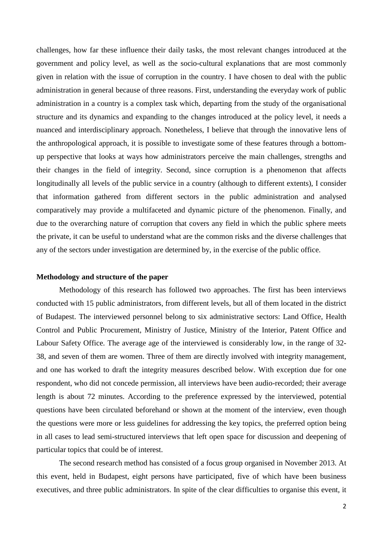challenges, how far these influence their daily tasks, the most relevant changes introduced at the government and policy level, as well as the socio-cultural explanations that are most commonly given in relation with the issue of corruption in the country. I have chosen to deal with the public administration in general because of three reasons. First, understanding the everyday work of public administration in a country is a complex task which, departing from the study of the organisational structure and its dynamics and expanding to the changes introduced at the policy level, it needs a nuanced and interdisciplinary approach. Nonetheless, I believe that through the innovative lens of the anthropological approach, it is possible to investigate some of these features through a bottomup perspective that looks at ways how administrators perceive the main challenges, strengths and their changes in the field of integrity. Second, since corruption is a phenomenon that affects longitudinally all levels of the public service in a country (although to different extents), I consider that information gathered from different sectors in the public administration and analysed comparatively may provide a multifaceted and dynamic picture of the phenomenon. Finally, and due to the overarching nature of corruption that covers any field in which the public sphere meets the private, it can be useful to understand what are the common risks and the diverse challenges that any of the sectors under investigation are determined by, in the exercise of the public office.

#### **Methodology and structure of the paper**

Methodology of this research has followed two approaches. The first has been interviews conducted with 15 public administrators, from different levels, but all of them located in the district of Budapest. The interviewed personnel belong to six administrative sectors: Land Office, Health Control and Public Procurement, Ministry of Justice, Ministry of the Interior, Patent Office and Labour Safety Office. The average age of the interviewed is considerably low, in the range of 32- 38, and seven of them are women. Three of them are directly involved with integrity management, and one has worked to draft the integrity measures described below. With exception due for one respondent, who did not concede permission, all interviews have been audio-recorded; their average length is about 72 minutes. According to the preference expressed by the interviewed, potential questions have been circulated beforehand or shown at the moment of the interview, even though the questions were more or less guidelines for addressing the key topics, the preferred option being in all cases to lead semi-structured interviews that left open space for discussion and deepening of particular topics that could be of interest.

The second research method has consisted of a focus group organised in November 2013. At this event, held in Budapest, eight persons have participated, five of which have been business executives, and three public administrators. In spite of the clear difficulties to organise this event, it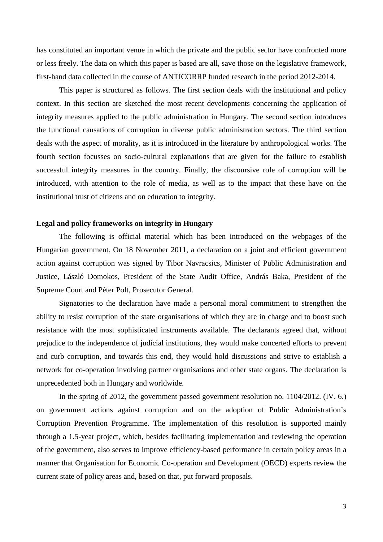has constituted an important venue in which the private and the public sector have confronted more or less freely. The data on which this paper is based are all, save those on the legislative framework, first-hand data collected in the course of ANTICORRP funded research in the period 2012-2014.

This paper is structured as follows. The first section deals with the institutional and policy context. In this section are sketched the most recent developments concerning the application of integrity measures applied to the public administration in Hungary. The second section introduces the functional causations of corruption in diverse public administration sectors. The third section deals with the aspect of morality, as it is introduced in the literature by anthropological works. The fourth section focusses on socio-cultural explanations that are given for the failure to establish successful integrity measures in the country. Finally, the discoursive role of corruption will be introduced, with attention to the role of media, as well as to the impact that these have on the institutional trust of citizens and on education to integrity.

#### **Legal and policy frameworks on integrity in Hungary**

The following is official material which has been introduced on the webpages of the Hungarian government. On 18 November 2011, a declaration on a joint and efficient government action against corruption was signed by Tibor Navracsics, Minister of Public Administration and Justice, László Domokos, President of the State Audit Office, András Baka, President of the Supreme Court and Péter Polt, Prosecutor General.

Signatories to the declaration have made a personal moral commitment to strengthen the ability to resist corruption of the state organisations of which they are in charge and to boost such resistance with the most sophisticated instruments available. The declarants agreed that, without prejudice to the independence of judicial institutions, they would make concerted efforts to prevent and curb corruption, and towards this end, they would hold discussions and strive to establish a network for co-operation involving partner organisations and other state organs. The declaration is unprecedented both in Hungary and worldwide.

In the spring of 2012, the government passed government resolution no. 1104/2012. (IV. 6.) on government actions against corruption and on the adoption of Public Administration's Corruption Prevention Programme. The implementation of this resolution is supported mainly through a 1.5-year project, which, besides facilitating implementation and reviewing the operation of the government, also serves to improve efficiency-based performance in certain policy areas in a manner that Organisation for Economic Co-operation and Development (OECD) experts review the current state of policy areas and, based on that, put forward proposals.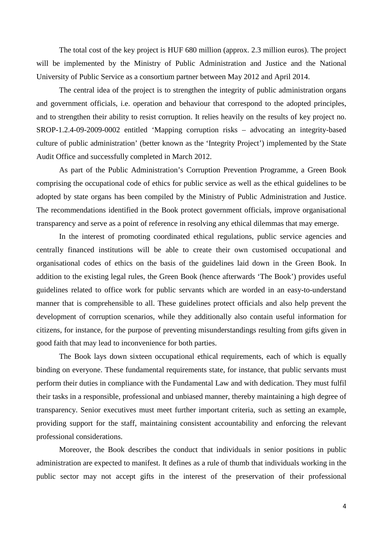The total cost of the key project is HUF 680 million (approx. 2.3 million euros). The project will be implemented by the Ministry of Public Administration and Justice and the National University of Public Service as a consortium partner between May 2012 and April 2014.

The central idea of the project is to strengthen the integrity of public administration organs and government officials, i.e. operation and behaviour that correspond to the adopted principles, and to strengthen their ability to resist corruption. It relies heavily on the results of key project no. SROP-1.2.4-09-2009-0002 entitled 'Mapping corruption risks – advocating an integrity-based culture of public administration' (better known as the 'Integrity Project') implemented by the State Audit Office and successfully completed in March 2012.

As part of the Public Administration's Corruption Prevention Programme, a Green Book comprising the occupational code of ethics for public service as well as the ethical guidelines to be adopted by state organs has been compiled by the Ministry of Public Administration and Justice. The recommendations identified in the Book protect government officials, improve organisational transparency and serve as a point of reference in resolving any ethical dilemmas that may emerge.

In the interest of promoting coordinated ethical regulations, public service agencies and centrally financed institutions will be able to create their own customised occupational and organisational codes of ethics on the basis of the guidelines laid down in the Green Book. In addition to the existing legal rules, the Green Book (hence afterwards 'The Book') provides useful guidelines related to office work for public servants which are worded in an easy-to-understand manner that is comprehensible to all. These guidelines protect officials and also help prevent the development of corruption scenarios, while they additionally also contain useful information for citizens, for instance, for the purpose of preventing misunderstandings resulting from gifts given in good faith that may lead to inconvenience for both parties.

The Book lays down sixteen occupational ethical requirements, each of which is equally binding on everyone. These fundamental requirements state, for instance, that public servants must perform their duties in compliance with the Fundamental Law and with dedication. They must fulfil their tasks in a responsible, professional and unbiased manner, thereby maintaining a high degree of transparency. Senior executives must meet further important criteria, such as setting an example, providing support for the staff, maintaining consistent accountability and enforcing the relevant professional considerations.

Moreover, the Book describes the conduct that individuals in senior positions in public administration are expected to manifest. It defines as a rule of thumb that individuals working in the public sector may not accept gifts in the interest of the preservation of their professional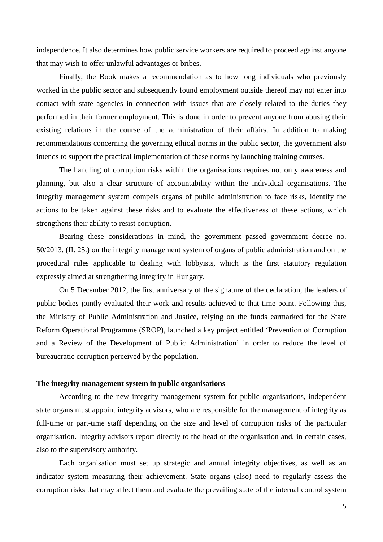independence. It also determines how public service workers are required to proceed against anyone that may wish to offer unlawful advantages or bribes.

Finally, the Book makes a recommendation as to how long individuals who previously worked in the public sector and subsequently found employment outside thereof may not enter into contact with state agencies in connection with issues that are closely related to the duties they performed in their former employment. This is done in order to prevent anyone from abusing their existing relations in the course of the administration of their affairs. In addition to making recommendations concerning the governing ethical norms in the public sector, the government also intends to support the practical implementation of these norms by launching training courses.

The handling of corruption risks within the organisations requires not only awareness and planning, but also a clear structure of accountability within the individual organisations. The integrity management system compels organs of public administration to face risks, identify the actions to be taken against these risks and to evaluate the effectiveness of these actions, which strengthens their ability to resist corruption.

Bearing these considerations in mind, the government passed government decree no. 50/2013. (II. 25.) on the integrity management system of organs of public administration and on the procedural rules applicable to dealing with lobbyists, which is the first statutory regulation expressly aimed at strengthening integrity in Hungary.

On 5 December 2012, the first anniversary of the signature of the declaration, the leaders of public bodies jointly evaluated their work and results achieved to that time point. Following this, the Ministry of Public Administration and Justice, relying on the funds earmarked for the State Reform Operational Programme (SROP), launched a key project entitled 'Prevention of Corruption and a Review of the Development of Public Administration' in order to reduce the level of bureaucratic corruption perceived by the population.

#### **The integrity management system in public organisations**

According to the new integrity management system for public organisations, independent state organs must appoint integrity advisors, who are responsible for the management of integrity as full-time or part-time staff depending on the size and level of corruption risks of the particular organisation. Integrity advisors report directly to the head of the organisation and, in certain cases, also to the supervisory authority.

Each organisation must set up strategic and annual integrity objectives, as well as an indicator system measuring their achievement. State organs (also) need to regularly assess the corruption risks that may affect them and evaluate the prevailing state of the internal control system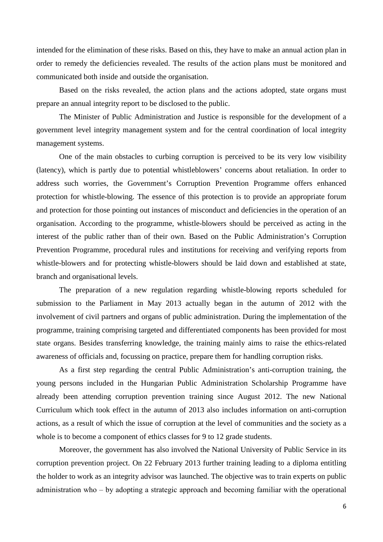intended for the elimination of these risks. Based on this, they have to make an annual action plan in order to remedy the deficiencies revealed. The results of the action plans must be monitored and communicated both inside and outside the organisation.

Based on the risks revealed, the action plans and the actions adopted, state organs must prepare an annual integrity report to be disclosed to the public.

The Minister of Public Administration and Justice is responsible for the development of a government level integrity management system and for the central coordination of local integrity management systems.

One of the main obstacles to curbing corruption is perceived to be its very low visibility (latency), which is partly due to potential whistleblowers' concerns about retaliation. In order to address such worries, the Government's Corruption Prevention Programme offers enhanced protection for whistle-blowing. The essence of this protection is to provide an appropriate forum and protection for those pointing out instances of misconduct and deficiencies in the operation of an organisation. According to the programme, whistle-blowers should be perceived as acting in the interest of the public rather than of their own. Based on the Public Administration's Corruption Prevention Programme, procedural rules and institutions for receiving and verifying reports from whistle-blowers and for protecting whistle-blowers should be laid down and established at state, branch and organisational levels.

The preparation of a new regulation regarding whistle-blowing reports scheduled for submission to the Parliament in May 2013 actually began in the autumn of 2012 with the involvement of civil partners and organs of public administration. During the implementation of the programme, training comprising targeted and differentiated components has been provided for most state organs. Besides transferring knowledge, the training mainly aims to raise the ethics-related awareness of officials and, focussing on practice, prepare them for handling corruption risks.

As a first step regarding the central Public Administration's anti-corruption training, the young persons included in the Hungarian Public Administration Scholarship Programme have already been attending corruption prevention training since August 2012. The new National Curriculum which took effect in the autumn of 2013 also includes information on anti-corruption actions, as a result of which the issue of corruption at the level of communities and the society as a whole is to become a component of ethics classes for 9 to 12 grade students.

Moreover, the government has also involved the National University of Public Service in its corruption prevention project. On 22 February 2013 further training leading to a diploma entitling the holder to work as an integrity advisor was launched. The objective was to train experts on public administration who  $-$  by adopting a strategic approach and becoming familiar with the operational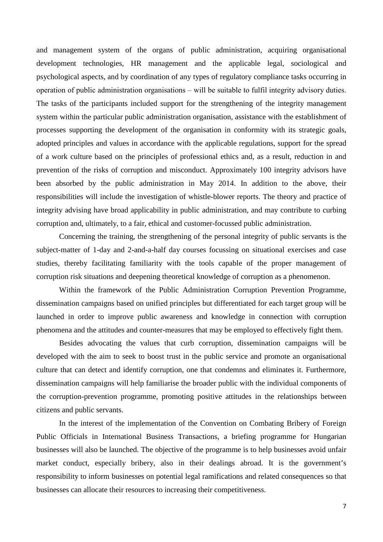and management system of the organs of public administration, acquiring organisational development technologies, HR management and the applicable legal, sociological and psychological aspects, and by coordination of any types of regulatory compliance tasks occurring in operation of public administration organisations ‒ will be suitable to fulfil integrity advisory duties. The tasks of the participants included support for the strengthening of the integrity management system within the particular public administration organisation, assistance with the establishment of processes supporting the development of the organisation in conformity with its strategic goals, adopted principles and values in accordance with the applicable regulations, support for the spread of a work culture based on the principles of professional ethics and, as a result, reduction in and prevention of the risks of corruption and misconduct. Approximately 100 integrity advisors have been absorbed by the public administration in May 2014. In addition to the above, their responsibilities will include the investigation of whistle-blower reports. The theory and practice of integrity advising have broad applicability in public administration, and may contribute to curbing corruption and, ultimately, to a fair, ethical and customer-focussed public administration.

Concerning the training, the strengthening of the personal integrity of public servants is the subject-matter of 1-day and 2-and-a-half day courses focussing on situational exercises and case studies, thereby facilitating familiarity with the tools capable of the proper management of corruption risk situations and deepening theoretical knowledge of corruption as a phenomenon.

Within the framework of the Public Administration Corruption Prevention Programme, dissemination campaigns based on unified principles but differentiated for each target group will be launched in order to improve public awareness and knowledge in connection with corruption phenomena and the attitudes and counter-measures that may be employed to effectively fight them.

Besides advocating the values that curb corruption, dissemination campaigns will be developed with the aim to seek to boost trust in the public service and promote an organisational culture that can detect and identify corruption, one that condemns and eliminates it. Furthermore, dissemination campaigns will help familiarise the broader public with the individual components of the corruption-prevention programme, promoting positive attitudes in the relationships between citizens and public servants.

In the interest of the implementation of the Convention on Combating Bribery of Foreign Public Officials in International Business Transactions, a briefing programme for Hungarian businesses will also be launched. The objective of the programme is to help businesses avoid unfair market conduct, especially bribery, also in their dealings abroad. It is the government's responsibility to inform businesses on potential legal ramifications and related consequences so that businesses can allocate their resources to increasing their competitiveness.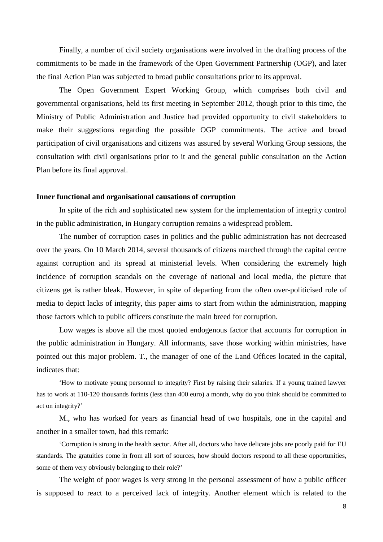Finally, a number of civil society organisations were involved in the drafting process of the commitments to be made in the framework of the Open Government Partnership (OGP), and later the final Action Plan was subjected to broad public consultations prior to its approval.

The Open Government Expert Working Group, which comprises both civil and governmental organisations, held its first meeting in September 2012, though prior to this time, the Ministry of Public Administration and Justice had provided opportunity to civil stakeholders to make their suggestions regarding the possible OGP commitments. The active and broad participation of civil organisations and citizens was assured by several Working Group sessions, the consultation with civil organisations prior to it and the general public consultation on the Action Plan before its final approval.

#### **Inner functional and organisational causations of corruption**

In spite of the rich and sophisticated new system for the implementation of integrity control in the public administration, in Hungary corruption remains a widespread problem.

The number of corruption cases in politics and the public administration has not decreased over the years. On 10 March 2014, several thousands of citizens marched through the capital centre against corruption and its spread at ministerial levels. When considering the extremely high incidence of corruption scandals on the coverage of national and local media, the picture that citizens get is rather bleak. However, in spite of departing from the often over-politicised role of media to depict lacks of integrity, this paper aims to start from within the administration, mapping those factors which to public officers constitute the main breed for corruption.

Low wages is above all the most quoted endogenous factor that accounts for corruption in the public administration in Hungary. All informants, save those working within ministries, have pointed out this major problem. T., the manager of one of the Land Offices located in the capital, indicates that:

'How to motivate young personnel to integrity? First by raising their salaries. If a young trained lawyer has to work at 110-120 thousands forints (less than 400 euro) a month, why do you think should be committed to act on integrity?'

M., who has worked for years as financial head of two hospitals, one in the capital and another in a smaller town, had this remark:

'Corruption is strong in the health sector. After all, doctors who have delicate jobs are poorly paid for EU standards. The gratuities come in from all sort of sources, how should doctors respond to all these opportunities, some of them very obviously belonging to their role?'

The weight of poor wages is very strong in the personal assessment of how a public officer is supposed to react to a perceived lack of integrity. Another element which is related to the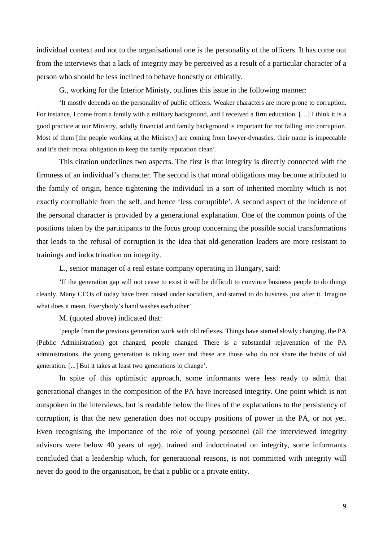individual context and not to the organisational one is the personality of the officers. It has come out from the interviews that a lack of integrity may be perceived as a result of a particular character of a person who should be less inclined to behave honestly or ethically.

G., working for the Interior Ministy, outlines this issue in the following manner:

'It mostly depends on the personality of public officers. Weaker characters are more prone to corruption. For instance, I come from a family with a military background, and I received a firm education. […] I think it is a good practice at our Ministry, solidly financial and family background is important for not falling into corruption. Most of them [the people working at the Ministry] are coming from lawyer-dynasties, their name is impeccable and it's their moral obligation to keep the family reputation clean'.

This citation underlines two aspects. The first is that integrity is directly connected with the firmness of an individual's character. The second is that moral obligations may become attributed to the family of origin, hence tightening the individual in a sort of inherited morality which is not exactly controllable from the self, and hence 'less corruptible'. A second aspect of the incidence of the personal character is provided by a generational explanation. One of the common points of the positions taken by the participants to the focus group concerning the possible social transformations that leads to the refusal of corruption is the idea that old-generation leaders are more resistant to trainings and indoctrination on integrity.

L., senior manager of a real estate company operating in Hungary, said:

'If the generation gap will not cease to exist it will be difficult to convince business people to do things cleanly. Many CEOs of today have been raised under socialism, and started to do business just after it. Imagine what does it mean. Everybody's hand washes each other'.

M. (quoted above) indicated that:

'people from the previous generation work with old reflexes. Things have started slowly changing, the PA (Public Administration) got changed, people changed. There is a substantial rejuvenation of the PA administrations, the young generation is taking over and these are those who do not share the habits of old generation. [...] But it takes at least two generations to change'.

In spite of this optimistic approach, some informants were less ready to admit that generational changes in the composition of the PA have increased integrity. One point which is not outspoken in the interviews, but is readable below the lines of the explanations to the persistency of corruption, is that the new generation does not occupy positions of power in the PA, or not yet. Even recognising the importance of the role of young personnel (all the interviewed integrity advisors were below 40 years of age), trained and indoctrinated on integrity, some informants concluded that a leadership which, for generational reasons, is not committed with integrity will never do good to the organisation, be that a public or a private entity.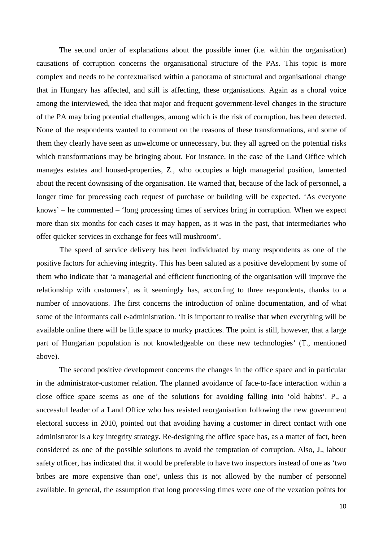The second order of explanations about the possible inner (i.e. within the organisation) causations of corruption concerns the organisational structure of the PAs. This topic is more complex and needs to be contextualised within a panorama of structural and organisational change that in Hungary has affected, and still is affecting, these organisations. Again as a choral voice among the interviewed, the idea that major and frequent government-level changes in the structure of the PA may bring potential challenges, among which is the risk of corruption, has been detected. None of the respondents wanted to comment on the reasons of these transformations, and some of them they clearly have seen as unwelcome or unnecessary, but they all agreed on the potential risks which transformations may be bringing about. For instance, in the case of the Land Office which manages estates and housed-properties, Z., who occupies a high managerial position, lamented about the recent downsising of the organisation. He warned that, because of the lack of personnel, a longer time for processing each request of purchase or building will be expected. 'As everyone knows' – he commented – 'long processing times of services bring in corruption. When we expect more than six months for each cases it may happen, as it was in the past, that intermediaries who offer quicker services in exchange for fees will mushroom'.

The speed of service delivery has been individuated by many respondents as one of the positive factors for achieving integrity. This has been saluted as a positive development by some of them who indicate that 'a managerial and efficient functioning of the organisation will improve the relationship with customers', as it seemingly has, according to three respondents, thanks to a number of innovations. The first concerns the introduction of online documentation, and of what some of the informants call e-administration. 'It is important to realise that when everything will be available online there will be little space to murky practices. The point is still, however, that a large part of Hungarian population is not knowledgeable on these new technologies' (T., mentioned above).

The second positive development concerns the changes in the office space and in particular in the administrator-customer relation. The planned avoidance of face-to-face interaction within a close office space seems as one of the solutions for avoiding falling into 'old habits'. P., a successful leader of a Land Office who has resisted reorganisation following the new government electoral success in 2010, pointed out that avoiding having a customer in direct contact with one administrator is a key integrity strategy. Re-designing the office space has, as a matter of fact, been considered as one of the possible solutions to avoid the temptation of corruption. Also, J., labour safety officer, has indicated that it would be preferable to have two inspectors instead of one as 'two bribes are more expensive than one', unless this is not allowed by the number of personnel available. In general, the assumption that long processing times were one of the vexation points for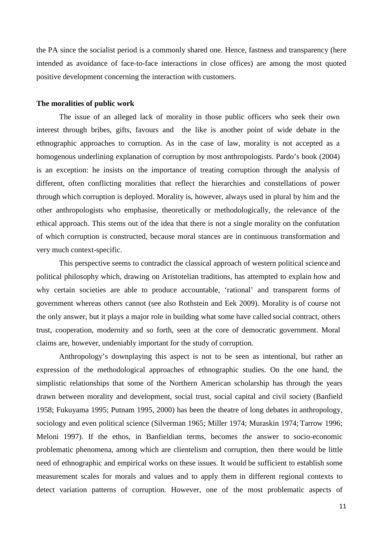the PA since the socialist period is a commonly shared one. Hence, fastness and transparency (here intended as avoidance of face-to-face interactions in close offices) are among the most quoted positive development concerning the interaction with customers.

#### **The moralities of public work**

The issue of an alleged lack of morality in those public officers who seek their own interest through bribes, gifts, favours and the like is another point of wide debate in the ethnographic approaches to corruption. As in the case of law, morality is not accepted as a homogenous underlining explanation of corruption by most anthropologists. Pardo's book (2004) is an exception: he insists on the importance of treating corruption through the analysis of different, often conflicting moralities that reflect the hierarchies and constellations of power through which corruption is deployed. Morality is, however, always used in plural by him and the other anthropologists who emphasise, theoretically or methodologically, the relevance of the ethical approach. This stems out of the idea that there is not a single morality on the confutation of which corruption is constructed, because moral stances are in continuous transformation and very much context-specific.

This perspective seems to contradict the classical approach of western political science and political philosophy which, drawing on Aristotelian traditions, has attempted to explain how and why certain societies are able to produce accountable, 'rational' and transparent forms of government whereas others cannot (see also Rothstein and Eek 2009). Morality is of course not the only answer, but it plays a major role in building what some have called social contract, others trust, cooperation, modernity and so forth, seen at the core of democratic government. Moral claims are, however, undeniably important for the study of corruption.

Anthropology's downplaying this aspect is not to be seen as intentional, but rather an expression of the methodological approaches of ethnographic studies. On the one hand, the simplistic relationships that some of the Northern American scholarship has through the years drawn between morality and development, social trust, social capital and civil society (Banfield 1958; Fukuyama 1995; Putnam 1995, 2000) has been the theatre of long debates in anthropology, sociology and even political science (Silverman 1965; Miller 1974; Muraskin 1974; Tarrow 1996; Meloni 1997). If the ethos, in Banfieldian terms, becomes *the* answer to socio-economic problematic phenomena, among which are clientelism and corruption, then there would be little need of ethnographic and empirical works on these issues. It would be sufficient to establish some measurement scales for morals and values and to apply them in different regional contexts to detect variation patterns of corruption. However, one of the most problematic aspects of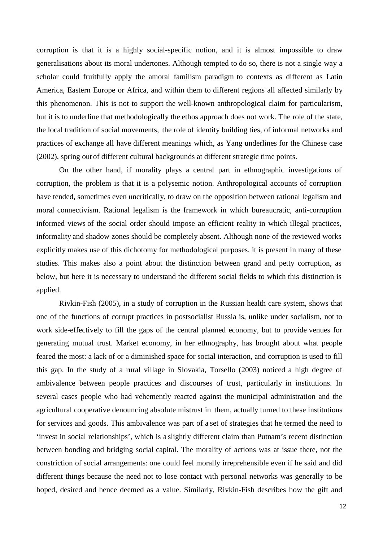corruption is that it is a highly social-specific notion, and it is almost impossible to draw generalisations about its moral undertones. Although tempted to do so, there is not a single way a scholar could fruitfully apply the amoral familism paradigm to contexts as different as Latin America, Eastern Europe or Africa, and within them to different regions all affected similarly by this phenomenon. This is not to support the well-known anthropological claim for particularism, but it is to underline that methodologically the ethos approach does not work. The role of the state, the local tradition of social movements, the role of identity building ties, of informal networks and practices of exchange all have different meanings which, as Yang underlines for the Chinese case (2002), spring out of different cultural backgrounds at different strategic time points.

On the other hand, if morality plays a central part in ethnographic investigations of corruption, the problem is that it is a polysemic notion. Anthropological accounts of corruption have tended, sometimes even uncritically, to draw on the opposition between rational legalism and moral connectivism. Rational legalism is the framework in which bureaucratic, anti-corruption informed views of the social order should impose an efficient reality in which illegal practices, informality and shadow zones should be completely absent. Although none of the reviewed works explicitly makes use of this dichotomy for methodological purposes, it is present in many of these studies. This makes also a point about the distinction between grand and petty corruption, as below, but here it is necessary to understand the different social fields to which this distinction is applied.

Rivkin-Fish (2005), in a study of corruption in the Russian health care system, shows that one of the functions of corrupt practices in postsocialist Russia is, unlike under socialism, not to work side-effectively to fill the gaps of the central planned economy, but to provide venues for generating mutual trust. Market economy, in her ethnography, has brought about what people feared the most: a lack of or a diminished space for social interaction, and corruption is used to fill this gap. In the study of a rural village in Slovakia, Torsello (2003) noticed a high degree of ambivalence between people practices and discourses of trust, particularly in institutions. In several cases people who had vehemently reacted against the municipal administration and the agricultural cooperative denouncing absolute mistrust in them, actually turned to these institutions for services and goods. This ambivalence was part of a set of strategies that he termed the need to 'invest in social relationships', which is a slightly different claim than Putnam's recent distinction between bonding and bridging social capital. The morality of actions was at issue there, not the constriction of social arrangements: one could feel morally irreprehensible even if he said and did different things because the need not to lose contact with personal networks was generally to be hoped, desired and hence deemed as a value. Similarly, Rivkin-Fish describes how the gift and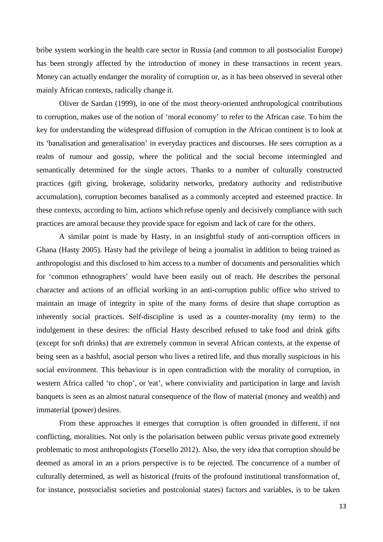bribe system working in the health care sector in Russia (and common to all postsocialist Europe) has been strongly affected by the introduction of money in these transactions in recent years. Money can actually endanger the morality of corruption or, as it has been observed in several other mainly African contexts, radically change it.

Oliver de Sardan (1999), in one of the most theory-oriented anthropological contributions to corruption, makes use of the notion of 'moral economy' to refer to the African case. To him the key for understanding the widespread diffusion of corruption in the African continent is to look at its 'banalisation and generalisation' in everyday practices and discourses. He sees corruption as a realm of rumour and gossip, where the political and the social become intermingled and semantically determined for the single actors. Thanks to a number of culturally constructed practices (gift giving, brokerage, solidarity networks, predatory authority and redistributive accumulation), corruption becomes banalised as a commonly accepted and esteemed practice. In these contexts, according to him, actions which refuse openly and decisively compliance with such practices are amoral because they provide space for egoism and lack of care for the others.

A similar point is made by Hasty, in an insightful study of anti-corruption officers in Ghana (Hasty 2005). Hasty had the privilege of being a journalist in addition to being trained as anthropologist and this disclosed to him access to a number of documents and personalities which for 'common ethnographers' would have been easily out of reach. He describes the personal character and actions of an official working in an anti-corruption public office who strived to maintain an image of integrity in spite of the many forms of desire that shape corruption as inherently social practices. Self-discipline is used as a counter-morality (my term) to the indulgement in these desires: the official Hasty described refused to take food and drink gifts (except for soft drinks) that are extremely common in several African contexts, at the expense of being seen as a bashful, asocial person who lives a retired life, and thus morally suspicious in his social environment. This behaviour is in open contradiction with the morality of corruption, in western Africa called 'to chop', or 'eat', where conviviality and participation in large and lavish banquets is seen as an almost natural consequence of the flow of material (money and wealth) and immaterial (power) desires.

From these approaches it emerges that corruption is often grounded in different, if not conflicting, moralities. Not only is the polarisation between public versus private good extremely problematic to most anthropologists (Torsello 2012). Also, the very idea that corruption should be deemed as amoral in an a priors perspective is to be rejected. The concurrence of a number of culturally determined, as well as historical (fruits of the profound institutional transformation of, for instance, postsocialist societies and postcolonial states) factors and variables, is to be taken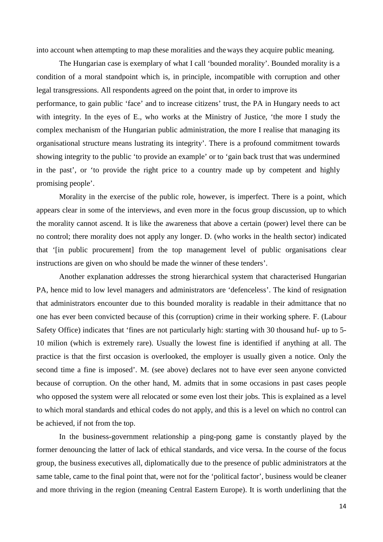into account when attempting to map these moralities and the ways they acquire public meaning.

The Hungarian case is exemplary of what I call 'bounded morality'. Bounded morality is a condition of a moral standpoint which is, in principle, incompatible with corruption and other legal transgressions. All respondents agreed on the point that, in order to improve its performance, to gain public 'face' and to increase citizens' trust, the PA in Hungary needs to act with integrity. In the eyes of E., who works at the Ministry of Justice, 'the more I study the complex mechanism of the Hungarian public administration, the more I realise that managing its organisational structure means lustrating its integrity'. There is a profound commitment towards showing integrity to the public 'to provide an example' or to 'gain back trust that was undermined in the past', or 'to provide the right price to a country made up by competent and highly promising people'.

Morality in the exercise of the public role, however, is imperfect. There is a point, which appears clear in some of the interviews, and even more in the focus group discussion, up to which the morality cannot ascend. It is like the awareness that above a certain (power) level there can be no control; there morality does not apply any longer. D. (who works in the health sector) indicated that '[in public procurement] from the top management level of public organisations clear instructions are given on who should be made the winner of these tenders'.

Another explanation addresses the strong hierarchical system that characterised Hungarian PA, hence mid to low level managers and administrators are 'defenceless'. The kind of resignation that administrators encounter due to this bounded morality is readable in their admittance that no one has ever been convicted because of this (corruption) crime in their working sphere. F. (Labour Safety Office) indicates that 'fines are not particularly high: starting with 30 thousand huf- up to 5- 10 milion (which is extremely rare). Usually the lowest fine is identified if anything at all. The practice is that the first occasion is overlooked, the employer is usually given a notice. Only the second time a fine is imposed'. M. (see above) declares not to have ever seen anyone convicted because of corruption. On the other hand, M. admits that in some occasions in past cases people who opposed the system were all relocated or some even lost their jobs. This is explained as a level to which moral standards and ethical codes do not apply, and this is a level on which no control can be achieved, if not from the top.

In the business-government relationship a ping-pong game is constantly played by the former denouncing the latter of lack of ethical standards, and vice versa. In the course of the focus group, the business executives all, diplomatically due to the presence of public administrators at the same table, came to the final point that, were not for the 'political factor', business would be cleaner and more thriving in the region (meaning Central Eastern Europe). It is worth underlining that the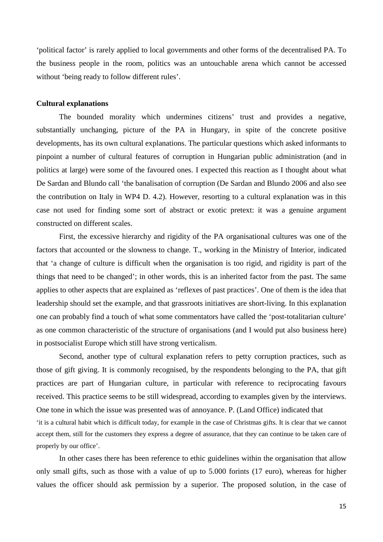'political factor' is rarely applied to local governments and other forms of the decentralised PA. To the business people in the room, politics was an untouchable arena which cannot be accessed without 'being ready to follow different rules'.

#### **Cultural explanations**

The bounded morality which undermines citizens' trust and provides a negative, substantially unchanging, picture of the PA in Hungary, in spite of the concrete positive developments, has its own cultural explanations. The particular questions which asked informants to pinpoint a number of cultural features of corruption in Hungarian public administration (and in politics at large) were some of the favoured ones. I expected this reaction as I thought about what De Sardan and Blundo call 'the banalisation of corruption (De Sardan and Blundo 2006 and also see the contribution on Italy in WP4 D. 4.2). However, resorting to a cultural explanation was in this case not used for finding some sort of abstract or exotic pretext: it was a genuine argument constructed on different scales.

First, the excessive hierarchy and rigidity of the PA organisational cultures was one of the factors that accounted or the slowness to change. T., working in the Ministry of Interior, indicated that 'a change of culture is difficult when the organisation is too rigid, and rigidity is part of the things that need to be changed'; in other words, this is an inherited factor from the past. The same applies to other aspects that are explained as 'reflexes of past practices'. One of them is the idea that leadership should set the example, and that grassroots initiatives are short-living. In this explanation one can probably find a touch of what some commentators have called the 'post-totalitarian culture' as one common characteristic of the structure of organisations (and I would put also business here) in postsocialist Europe which still have strong verticalism.

Second, another type of cultural explanation refers to petty corruption practices, such as those of gift giving. It is commonly recognised, by the respondents belonging to the PA, that gift practices are part of Hungarian culture, in particular with reference to reciprocating favours received. This practice seems to be still widespread, according to examples given by the interviews. One tone in which the issue was presented was of annoyance. P. (Land Office) indicated that 'it is a cultural habit which is difficult today, for example in the case of Christmas gifts. It is clear that we cannot accept them, still for the customers they express a degree of assurance, that they can continue to be taken care of properly by our office'.

In other cases there has been reference to ethic guidelines within the organisation that allow only small gifts, such as those with a value of up to 5.000 forints (17 euro), whereas for higher values the officer should ask permission by a superior. The proposed solution, in the case of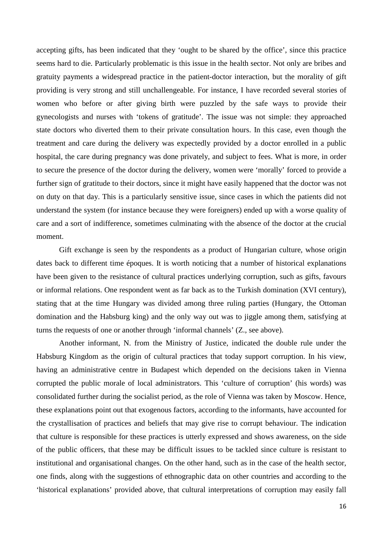accepting gifts, has been indicated that they 'ought to be shared by the office', since this practice seems hard to die. Particularly problematic is this issue in the health sector. Not only are bribes and gratuity payments a widespread practice in the patient-doctor interaction, but the morality of gift providing is very strong and still unchallengeable. For instance, I have recorded several stories of women who before or after giving birth were puzzled by the safe ways to provide their gynecologists and nurses with 'tokens of gratitude'. The issue was not simple: they approached state doctors who diverted them to their private consultation hours. In this case, even though the treatment and care during the delivery was expectedly provided by a doctor enrolled in a public hospital, the care during pregnancy was done privately, and subject to fees. What is more, in order to secure the presence of the doctor during the delivery, women were 'morally' forced to provide a further sign of gratitude to their doctors, since it might have easily happened that the doctor was not on duty on that day. This is a particularly sensitive issue, since cases in which the patients did not understand the system (for instance because they were foreigners) ended up with a worse quality of care and a sort of indifference, sometimes culminating with the absence of the doctor at the crucial moment.

Gift exchange is seen by the respondents as a product of Hungarian culture, whose origin dates back to different time époques. It is worth noticing that a number of historical explanations have been given to the resistance of cultural practices underlying corruption, such as gifts, favours or informal relations. One respondent went as far back as to the Turkish domination (XVI century), stating that at the time Hungary was divided among three ruling parties (Hungary, the Ottoman domination and the Habsburg king) and the only way out was to jiggle among them, satisfying at turns the requests of one or another through 'informal channels' (Z., see above).

Another informant, N. from the Ministry of Justice, indicated the double rule under the Habsburg Kingdom as the origin of cultural practices that today support corruption. In his view, having an administrative centre in Budapest which depended on the decisions taken in Vienna corrupted the public morale of local administrators. This 'culture of corruption' (his words) was consolidated further during the socialist period, as the role of Vienna was taken by Moscow. Hence, these explanations point out that exogenous factors, according to the informants, have accounted for the crystallisation of practices and beliefs that may give rise to corrupt behaviour. The indication that culture is responsible for these practices is utterly expressed and shows awareness, on the side of the public officers, that these may be difficult issues to be tackled since culture is resistant to institutional and organisational changes. On the other hand, such as in the case of the health sector, one finds, along with the suggestions of ethnographic data on other countries and according to the 'historical explanations' provided above, that cultural interpretations of corruption may easily fall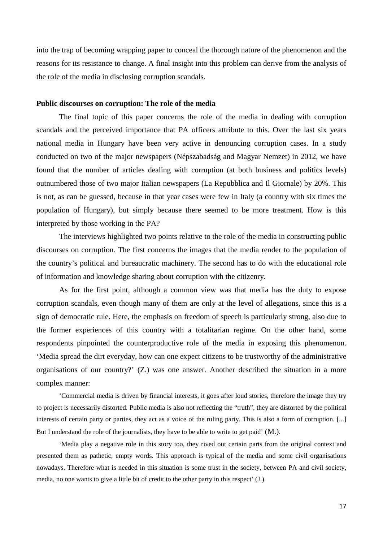into the trap of becoming wrapping paper to conceal the thorough nature of the phenomenon and the reasons for its resistance to change. A final insight into this problem can derive from the analysis of the role of the media in disclosing corruption scandals.

#### **Public discourses on corruption: The role of the media**

The final topic of this paper concerns the role of the media in dealing with corruption scandals and the perceived importance that PA officers attribute to this. Over the last six years national media in Hungary have been very active in denouncing corruption cases. In a study conducted on two of the major newspapers (Népszabadság and Magyar Nemzet) in 2012, we have found that the number of articles dealing with corruption (at both business and politics levels) outnumbered those of two major Italian newspapers (La Repubblica and Il Giornale) by 20%. This is not, as can be guessed, because in that year cases were few in Italy (a country with six times the population of Hungary), but simply because there seemed to be more treatment. How is this interpreted by those working in the PA?

The interviews highlighted two points relative to the role of the media in constructing public discourses on corruption. The first concerns the images that the media render to the population of the country's political and bureaucratic machinery. The second has to do with the educational role of information and knowledge sharing about corruption with the citizenry.

As for the first point, although a common view was that media has the duty to expose corruption scandals, even though many of them are only at the level of allegations, since this is a sign of democratic rule. Here, the emphasis on freedom of speech is particularly strong, also due to the former experiences of this country with a totalitarian regime. On the other hand, some respondents pinpointed the counterproductive role of the media in exposing this phenomenon. 'Media spread the dirt everyday, how can one expect citizens to be trustworthy of the administrative organisations of our country?' (Z.) was one answer. Another described the situation in a more complex manner:

'Commercial media is driven by financial interests, it goes after loud stories, therefore the image they try to project is necessarily distorted. Public media is also not reflecting the "truth", they are distorted by the political interests of certain party or parties, they act as a voice of the ruling party. This is also a form of corruption. [...] But I understand the role of the journalists, they have to be able to write to get paid' (M.).

'Media play a negative role in this story too, they rived out certain parts from the original context and presented them as pathetic, empty words. This approach is typical of the media and some civil organisations nowadays. Therefore what is needed in this situation is some trust in the society, between PA and civil society, media, no one wants to give a little bit of credit to the other party in this respect' (J.).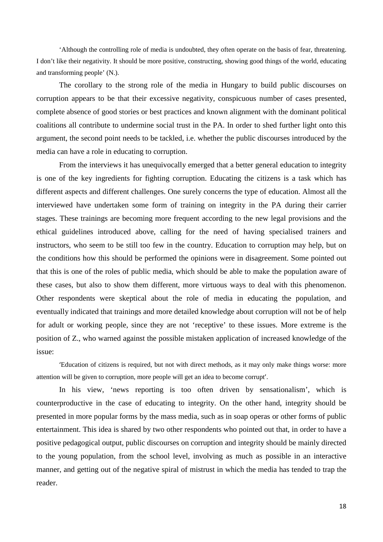'Although the controlling role of media is undoubted, they often operate on the basis of fear, threatening. I don't like their negativity. It should be more positive, constructing, showing good things of the world, educating and transforming people' (N.).

The corollary to the strong role of the media in Hungary to build public discourses on corruption appears to be that their excessive negativity, conspicuous number of cases presented, complete absence of good stories or best practices and known alignment with the dominant political coalitions all contribute to undermine social trust in the PA. In order to shed further light onto this argument, the second point needs to be tackled, i.e. whether the public discourses introduced by the media can have a role in educating to corruption.

From the interviews it has unequivocally emerged that a better general education to integrity is one of the key ingredients for fighting corruption. Educating the citizens is a task which has different aspects and different challenges. One surely concerns the type of education. Almost all the interviewed have undertaken some form of training on integrity in the PA during their carrier stages. These trainings are becoming more frequent according to the new legal provisions and the ethical guidelines introduced above, calling for the need of having specialised trainers and instructors, who seem to be still too few in the country. Education to corruption may help, but on the conditions how this should be performed the opinions were in disagreement. Some pointed out that this is one of the roles of public media, which should be able to make the population aware of these cases, but also to show them different, more virtuous ways to deal with this phenomenon. Other respondents were skeptical about the role of media in educating the population, and eventually indicated that trainings and more detailed knowledge about corruption will not be of help for adult or working people, since they are not 'receptive' to these issues. More extreme is the position of Z., who warned against the possible mistaken application of increased knowledge of the issue:

'Education of citizens is required, but not with direct methods, as it may only make things worse: more attention will be given to corruption, more people will get an idea to become corrupt'.

In his view, 'news reporting is too often driven by sensationalism', which is counterproductive in the case of educating to integrity. On the other hand, integrity should be presented in more popular forms by the mass media, such as in soap operas or other forms of public entertainment. This idea is shared by two other respondents who pointed out that, in order to have a positive pedagogical output, public discourses on corruption and integrity should be mainly directed to the young population, from the school level, involving as much as possible in an interactive manner, and getting out of the negative spiral of mistrust in which the media has tended to trap the reader.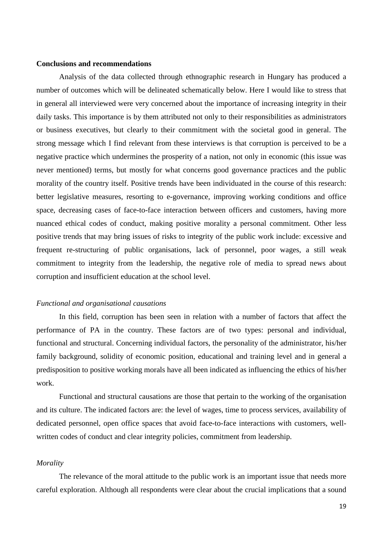#### **Conclusions and recommendations**

Analysis of the data collected through ethnographic research in Hungary has produced a number of outcomes which will be delineated schematically below. Here I would like to stress that in general all interviewed were very concerned about the importance of increasing integrity in their daily tasks. This importance is by them attributed not only to their responsibilities as administrators or business executives, but clearly to their commitment with the societal good in general. The strong message which I find relevant from these interviews is that corruption is perceived to be a negative practice which undermines the prosperity of a nation, not only in economic (this issue was never mentioned) terms, but mostly for what concerns good governance practices and the public morality of the country itself. Positive trends have been individuated in the course of this research: better legislative measures, resorting to e-governance, improving working conditions and office space, decreasing cases of face-to-face interaction between officers and customers, having more nuanced ethical codes of conduct, making positive morality a personal commitment. Other less positive trends that may bring issues of risks to integrity of the public work include: excessive and frequent re-structuring of public organisations, lack of personnel, poor wages, a still weak commitment to integrity from the leadership, the negative role of media to spread news about corruption and insufficient education at the school level.

#### *Functional and organisational causations*

In this field, corruption has been seen in relation with a number of factors that affect the performance of PA in the country. These factors are of two types: personal and individual, functional and structural. Concerning individual factors, the personality of the administrator, his/her family background, solidity of economic position, educational and training level and in general a predisposition to positive working morals have all been indicated as influencing the ethics of his/her work.

Functional and structural causations are those that pertain to the working of the organisation and its culture. The indicated factors are: the level of wages, time to process services, availability of dedicated personnel, open office spaces that avoid face-to-face interactions with customers, wellwritten codes of conduct and clear integrity policies, commitment from leadership.

#### *Morality*

The relevance of the moral attitude to the public work is an important issue that needs more careful exploration. Although all respondents were clear about the crucial implications that a sound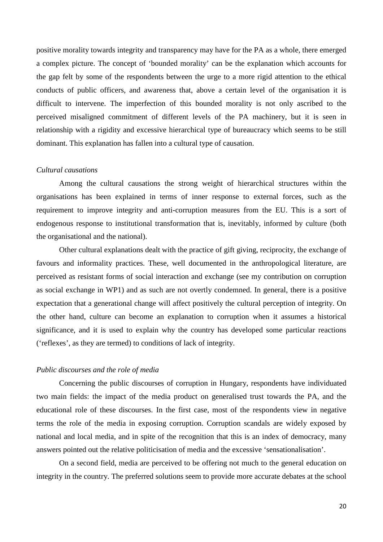positive morality towards integrity and transparency may have for the PA as a whole, there emerged a complex picture. The concept of 'bounded morality' can be the explanation which accounts for the gap felt by some of the respondents between the urge to a more rigid attention to the ethical conducts of public officers, and awareness that, above a certain level of the organisation it is difficult to intervene. The imperfection of this bounded morality is not only ascribed to the perceived misaligned commitment of different levels of the PA machinery, but it is seen in relationship with a rigidity and excessive hierarchical type of bureaucracy which seems to be still dominant. This explanation has fallen into a cultural type of causation.

#### *Cultural causations*

Among the cultural causations the strong weight of hierarchical structures within the organisations has been explained in terms of inner response to external forces, such as the requirement to improve integrity and anti-corruption measures from the EU. This is a sort of endogenous response to institutional transformation that is, inevitably, informed by culture (both the organisational and the national).

Other cultural explanations dealt with the practice of gift giving, reciprocity, the exchange of favours and informality practices. These, well documented in the anthropological literature, are perceived as resistant forms of social interaction and exchange (see my contribution on corruption as social exchange in WP1) and as such are not overtly condemned. In general, there is a positive expectation that a generational change will affect positively the cultural perception of integrity. On the other hand, culture can become an explanation to corruption when it assumes a historical significance, and it is used to explain why the country has developed some particular reactions ('reflexes', as they are termed) to conditions of lack of integrity.

#### *Public discourses and the role of media*

Concerning the public discourses of corruption in Hungary, respondents have individuated two main fields: the impact of the media product on generalised trust towards the PA, and the educational role of these discourses. In the first case, most of the respondents view in negative terms the role of the media in exposing corruption. Corruption scandals are widely exposed by national and local media, and in spite of the recognition that this is an index of democracy, many answers pointed out the relative politicisation of media and the excessive 'sensationalisation'.

On a second field, media are perceived to be offering not much to the general education on integrity in the country. The preferred solutions seem to provide more accurate debates at the school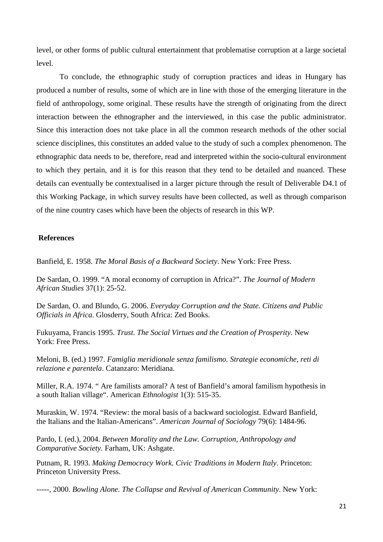level, or other forms of public cultural entertainment that problematise corruption at a large societal level.

To conclude, the ethnographic study of corruption practices and ideas in Hungary has produced a number of results, some of which are in line with those of the emerging literature in the field of anthropology, some original. These results have the strength of originating from the direct interaction between the ethnographer and the interviewed, in this case the public administrator. Since this interaction does not take place in all the common research methods of the other social science disciplines, this constitutes an added value to the study of such a complex phenomenon. The ethnographic data needs to be, therefore, read and interpreted within the socio-cultural environment to which they pertain, and it is for this reason that they tend to be detailed and nuanced. These details can eventually be contextualised in a larger picture through the result of Deliverable D4.1 of this Working Package, in which survey results have been collected, as well as through comparison of the nine country cases which have been the objects of research in this WP.

#### **References**

Banfield, E. 1958. *The Moral Basis of a Backward Society*. New York: Free Press.

De Sardan, O. 1999. "A moral economy of corruption in Africa?". *The Journal of Modern African Studies* 37(1): 25-52.

De Sardan, O. and Blundo, G. 2006. *Everyday Corruption and the State. Citizens and Public Officials in Africa*. Glosderry, South Africa: Zed Books.

Fukuyama, Francis 1995. *Trust. The Social Virtues and the Creation of Prosperity*. New York: Free Press.

Meloni, B. (ed.) 1997. *Famiglia meridionale senza familismo. Strategie economiche, reti di relazione e parentela*. Catanzaro: Meridiana.

Miller, R.A. 1974. " Are familists amoral? A test of Banfield's amoral familism hypothesis in a south Italian village". American *Ethnologist* 1(3): 515-35.

Muraskin, W. 1974. "Review: the moral basis of a backward sociologist. Edward Banfield, the Italians and the Italian-Americans". *American Journal of Sociology* 79(6): 1484-96.

Pardo, I. (ed.), 2004. *Between Morality and the Law. Corruption, Anthropology and Comparative Society*. Farham, UK: Ashgate.

Putnam, R. 1993. *Making Democracy Work. Civic Traditions in Modern Italy*. Princeton: Princeton University Press.

-----, 2000. *Bowling Alone. The Collapse and Revival of American Community*. New York: